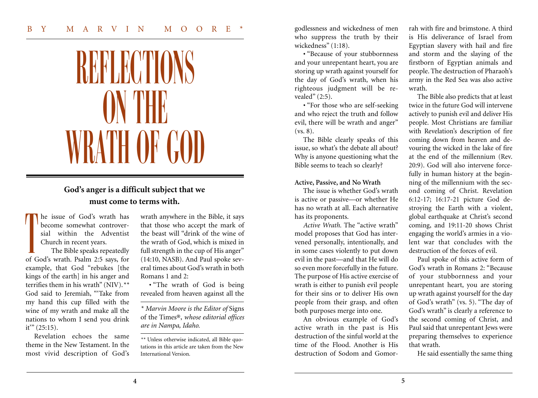## BY MARVIN MOORE

# REFLECTIONS **ON THE** WRATH OF GOD

# **God's anger is a difficult subject that we must come to terms with.**

he issue of God's wrath has become somewhat controversial within the Adventist Church in recent years. T

The Bible speaks repeatedly of God's wrath. Psalm 2:5 says, for example, that God "rebukes [the kings of the earth] in his anger and terrifies them in his wrath" (NIV).*\*\** God said to Jeremiah, "'Take from my hand this cup filled with the wine of my wrath and make all the nations to whom I send you drink  $it'''(25:15)$ .

Revelation echoes the same theme in the New Testament. In the most vivid description of God's wrath anywhere in the Bible, it says that those who accept the mark of the beast will "drink of the wine of the wrath of God, which is mixed in full strength in the cup of His anger" (14:10, NASB). And Paul spoke several times about God's wrath in both Romans 1 and 2:

**·** "The wrath of God is being revealed from heaven against all the

*\* Marvin Moore is the Editor of* Signs of the Times®, *whose editorial offices are in Nampa, Idaho.*

*\*\** Unless otherwise indicated, all Bible quotations in this article are taken from the New International Version.

godlessness and wickedness of men who suppress the truth by their wickedness" (1:18).

**·** "Because of your stubbornness and your unrepentant heart, you are storing up wrath against yourself for the day of God's wrath, when his righteous judgment will be revealed" (2:5).

**·** "For those who are self-seeking and who reject the truth and follow evil, there will be wrath and anger" (vs. 8).

The Bible clearly speaks of this issue, so what's the debate all about? Why is anyone questioning what the Bible seems to teach so clearly?

### **Active, Passive, and No Wrath**

The issue is whether God's wrath is active or passive—or whether He has no wrath at all. Each alternative has its proponents.

*Active Wrath.* The "active wrath" model proposes that God has intervened personally, intentionally, and in some cases violently to put down evil in the past—and that He will do so even more forcefully in the future. The purpose of His active exercise of wrath is either to punish evil people for their sins or to deliver His own people from their grasp, and often both purposes merge into one.

An obvious example of God's active wrath in the past is His destruction of the sinful world at the time of the Flood. Another is His destruction of Sodom and Gomor-

rah with fire and brimstone. A third is His deliverance of Israel from Egyptian slavery with hail and fire and storm and the slaying of the firstborn of Egyptian animals and people. The destruction of Pharaoh's army in the Red Sea was also active wrath.

The Bible also predicts that at least twice in the future God will intervene actively to punish evil and deliver His people. Most Christians are familiar with Revelation's description of fire coming down from heaven and devouring the wicked in the lake of fire at the end of the millennium (Rev. 20:9). God will also intervene forcefully in human history at the beginning of the millennium with the second coming of Christ. Revelation 6:12-17; 16:17-21 picture God destroying the Earth with a violent, global earthquake at Christ's second coming, and 19:11-20 shows Christ engaging the world's armies in a violent war that concludes with the destruction of the forces of evil.

Paul spoke of this active form of God's wrath in Romans 2: "Because of your stubbornness and your unrepentant heart, you are storing up wrath against yourself for the day of God's wrath" (vs. 5). "The day of God's wrath" is clearly a reference to the second coming of Christ, and Paul said that unrepentant Jews were preparing themselves to experience that wrath.

He said essentially the same thing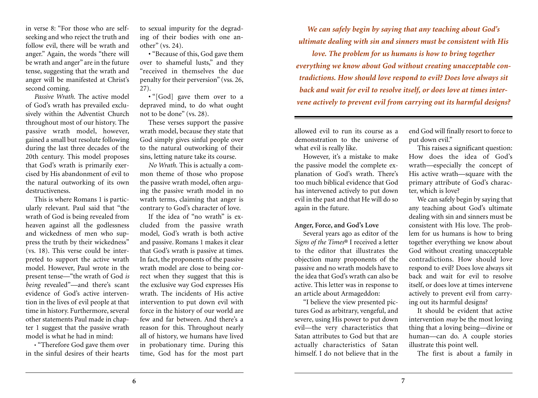in verse 8: "For those who are selfseeking and who reject the truth and follow evil, there will be wrath and anger." Again, the words "there will be wrath and anger" are in the future tense, suggesting that the wrath and anger will be manifested at Christ's second coming.

*Passive Wrath.* The active model of God's wrath has prevailed exclusively within the Adventist Church throughout most of our history. The passive wrath model, however, gained a small but resolute following during the last three decades of the 20th century. This model proposes that God's wrath is primarily exercised by His abandonment of evil to the natural outworking of its own destructiveness.

This is where Romans 1 is particularly relevant. Paul said that "the wrath of God is being revealed from heaven against all the godlessness and wickedness of men who suppress the truth by their wickedness" (vs. 18). This verse could be interpreted to support the active wrath model. However, Paul wrote in the present tense—"the wrath of God *is being* revealed"—and there's scant evidence of God's active intervention in the lives of evil people at that time in history. Furthermore, several other statements Paul made in chapter 1 suggest that the passive wrath model is what he had in mind:

**·** "Therefore God gave them over in the sinful desires of their hearts

to sexual impurity for the degrading of their bodies with one another" (vs. 24).

**·** "Because of this, God gave them over to shameful lusts," and they "received in themselves the due penalty for their perversion" (vss. 26, 27).

**·** "[God] gave them over to a depraved mind, to do what ought not to be done" (vs. 28).

These verses support the passive wrath model, because they state that God simply gives sinful people over to the natural outworking of their sins, letting nature take its course.

*No Wrath.* This is actually a common theme of those who propose the passive wrath model, often arguing the passive wrath model in no wrath terms, claiming that anger is contrary to God's character of love.

If the idea of "no wrath" is excluded from the passive wrath model, God's wrath is both active and passive. Romans 1 makes it clear that God's wrath is passive at times. In fact, the proponents of the passive wrath model are close to being correct when they suggest that this is the exclusive way God expresses His wrath. The incidents of His active intervention to put down evil with force in the history of our world are few and far between. And there's a reason for this. Throughout nearly all of history, we humans have lived in probationary time. During this time, God has for the most part

*We can safely begin by saying that any teaching about God's ultimate dealing with sin and sinners must be consistent with His*

*love. The problem for us humans is how to bring together everything we know about God without creating unacceptable contradictions. How should love respond to evil? Does love always sit back and wait for evil to resolve itself, or does love at times intervene actively to prevent evil from carrying out its harmful designs?*

allowed evil to run its course as a demonstration to the universe of what evil is really like.

However, it's a mistake to make the passive model the complete explanation of God's wrath. There's too much biblical evidence that God has intervened actively to put down evil in the past and that He will do so again in the future.

### **Anger, Force, and God's Love**

Several years ago as editor of the *Signs of the Times*® I received a letter to the editor that illustrates the objection many proponents of the passive and no wrath models have to the idea that God's wrath can also be active. This letter was in response to an article about Armageddon:

"I believe the view presented pictures God as arbitrary, vengeful, and severe, using His power to put down evil—the very characteristics that Satan attributes to God but that are actually characteristics of Satan himself. I do not believe that in the

end God will finally resort to force to put down evil."

This raises a significant question: How does the idea of God's wrath—especially the concept of His active wrath—square with the primary attribute of God's character, which is love?

We can safely begin by saying that any teaching about God's ultimate dealing with sin and sinners must be consistent with His love. The problem for us humans is how to bring together everything we know about God without creating unacceptable contradictions. How should love respond to evil? Does love always sit back and wait for evil to resolve itself, or does love at times intervene actively to prevent evil from carrying out its harmful designs?

It should be evident that active intervention *may* be the most loving thing that a loving being—divine or human—can do. A couple stories illustrate this point well.

The first is about a family in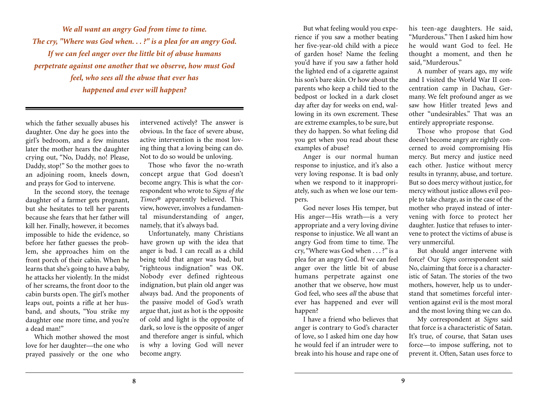*We all want an angry God from time to time. The cry, "Where was God when. . . ?" is a plea for an angry God. If we can feel anger over the little bit of abuse humans perpetrate against one another that we observe, how must God feel, who sees all the abuse that ever has happened and ever will happen?*

which the father sexually abuses his daughter. One day he goes into the girl's bedroom, and a few minutes later the mother hears the daughter crying out, "No, Daddy, no! Please, Daddy, stop!" So the mother goes to an adjoining room, kneels down, and prays for God to intervene.

In the second story, the teenage daughter of a farmer gets pregnant, but she hesitates to tell her parents because she fears that her father will kill her. Finally, however, it becomes impossible to hide the evidence, so before her father guesses the problem, she approaches him on the front porch of their cabin. When he learns that she's going to have a baby, he attacks her violently. In the midst of her screams, the front door to the cabin bursts open. The girl's mother leaps out, points a rifle at her husband, and shouts, "You strike my daughter one more time, and you're a dead man!"

Which mother showed the most love for her daughter—the one who prayed passively or the one who

intervened actively? The answer is obvious. In the face of severe abuse, active intervention is the most loving thing that a loving being can do. Not to do so would be unloving.

Those who favor the no-wrath concept argue that God doesn't become angry. This is what the correspondent who wrote to *Signs of the Times*® apparently believed. This view, however, involves a fundamental misunderstanding of anger, namely, that it's always bad.

Unfortunately, many Christians have grown up with the idea that anger is bad. I can recall as a child being told that anger was bad, but "righteous indignation" was OK. Nobody ever defined righteous indignation, but plain old anger was always bad. And the proponents of the passive model of God's wrath argue that, just as hot is the opposite of cold and light is the opposite of dark, so love is the opposite of anger and therefore anger is sinful, which is why a loving God will never become angry.

But what feeling would you experience if you saw a mother beating her five-year-old child with a piece of garden hose? Name the feeling you'd have if you saw a father hold the lighted end of a cigarette against his son's bare skin. Or how about the parents who keep a child tied to the bedpost or locked in a dark closet day after day for weeks on end, wallowing in its own excrement. These are extreme examples, to be sure, but they do happen. So what feeling did you get when you read about these examples of abuse?

Anger is our normal human response to injustice, and it's also a very loving response. It is bad only when we respond to it inappropriately, such as when we lose our tempers.

God never loses His temper, but His anger—His wrath—is a very appropriate and a very loving divine response to injustice. We all want an angry God from time to time. The cry, "Where was God when . . . ?" is a plea for an angry God. If we can feel anger over the little bit of abuse humans perpetrate against one another that we observe, how must God feel, who sees *all* the abuse that ever has happened and ever will happen?

I have a friend who believes that anger is contrary to God's character of love, so I asked him one day how he would feel if an intruder were to break into his house and rape one of his teen-age daughters. He said, "Murderous." Then I asked him how he would want God to feel. He thought a moment, and then he said, "Murderous."

A number of years ago, my wife and I visited the World War II concentration camp in Dachau, Germany. We felt profound anger as we saw how Hitler treated Jews and other "undesirables." That was an entirely appropriate response.

Those who propose that God doesn't become angry are rightly concerned to avoid compromising His mercy. But mercy and justice need each other. Justice without mercy results in tyranny, abuse, and torture. But so does mercy without justice, for mercy without justice allows evil people to take charge, as in the case of the mother who prayed instead of intervening with force to protect her daughter. Justice that refuses to intervene to protect the victims of abuse is very unmerciful.

But should anger intervene with force? Our *Signs* correspondent said No, claiming that force is a characteristic of Satan. The stories of the two mothers, however, help us to understand that sometimes forceful intervention against evil is the most moral and the most loving thing we can do.

My correspondent at *Signs* said that force is a characteristic of Satan. It's true, of course, that Satan uses force—to impose suffering, not to prevent it. Often, Satan uses force to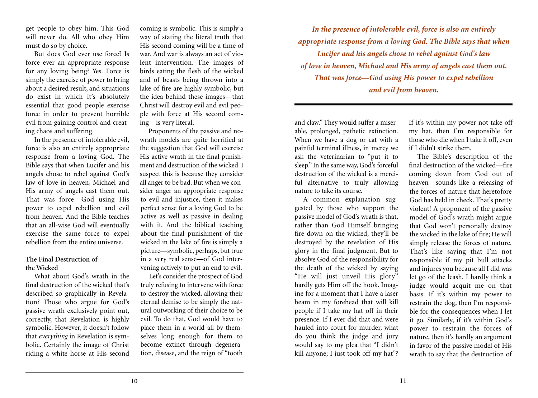get people to obey him. This God will never do. All who obey Him must do so by choice.

But does God ever use force? Is force ever an appropriate response for any loving being? Yes. Force is simply the exercise of power to bring about a desired result, and situations do exist in which it's absolutely essential that good people exercise force in order to prevent horrible evil from gaining control and creating chaos and suffering.

In the presence of intolerable evil, force is also an entirely appropriate response from a loving God. The Bible says that when Lucifer and his angels chose to rebel against God's law of love in heaven, Michael and His army of angels cast them out. That was force—God using His power to expel rebellion and evil from heaven. And the Bible teaches that an all-wise God will eventually exercise the same force to expel rebellion from the entire universe.

### **The Final Destruction of the Wicked**

What about God's wrath in the final destruction of the wicked that's described so graphically in Revelation? Those who argue for God's passive wrath exclusively point out, correctly, that Revelation is highly symbolic. However, it doesn't follow that *everything* in Revelation is symbolic. Certainly the image of Christ riding a white horse at His second

coming is symbolic. This is simply a way of stating the literal truth that His second coming will be a time of war. And war is always an act of violent intervention. The images of birds eating the flesh of the wicked and of beasts being thrown into a lake of fire are highly symbolic, but the idea behind these images—that Christ will destroy evil and evil people with force at His second coming—is very literal.

Proponents of the passive and nowrath models are quite horrified at the suggestion that God will exercise His active wrath in the final punishment and destruction of the wicked. I suspect this is because they consider all anger to be bad. But when we consider anger an appropriate response to evil and injustice, then it makes perfect sense for a loving God to be active as well as passive in dealing with it. And the biblical teaching about the final punishment of the wicked in the lake of fire is simply a picture—symbolic, perhaps, but true in a very real sense—of God intervening actively to put an end to evil.

Let's consider the prospect of God truly refusing to intervene with force to destroy the wicked, allowing their eternal demise to be simply the natural outworking of their choice to be evil. To do that, God would have to place them in a world all by themselves long enough for them to become extinct through degeneration, disease, and the reign of "tooth

*In the presence of intolerable evil, force is also an entirely appropriate response from a loving God. The Bible says that when Lucifer and his angels chose to rebel against God's law of love in heaven, Michael and His army of angels cast them out. That was force—God using His power to expel rebellion and evil from heaven.*

and claw." They would suffer a miserable, prolonged, pathetic extinction. When we have a dog or cat with a painful terminal illness, in mercy we ask the veterinarian to "put it to sleep." In the same way, God's forceful destruction of the wicked is a merciful alternative to truly allowing nature to take its course.

A common explanation suggested by those who support the passive model of God's wrath is that, rather than God Himself bringing fire down on the wicked, they'll be destroyed by the revelation of His glory in the final judgment. But to absolve God of the responsibility for the death of the wicked by saying "He will just unveil His glory" hardly gets Him off the hook. Imagine for a moment that I have a laser beam in my forehead that will kill people if I take my hat off in their presence. If I ever did that and were hauled into court for murder, what do you think the judge and jury would say to my plea that "I didn't kill anyone; I just took off my hat"?

If it's within my power not take off my hat, then I'm responsible for those who die when I take it off, even if I didn't strike them.

The Bible's description of the final destruction of the wicked—fire coming down from God out of heaven—sounds like a releasing of the forces of nature that heretofore God has held in check. That's pretty violent! A proponent of the passive model of God's wrath might argue that God won't personally destroy the wicked in the lake of fire; He will simply release the forces of nature. That's like saying that I'm not responsible if my pit bull attacks and injures you because all I did was let go of the leash. I hardly think a judge would acquit me on that basis. If it's within my power to restrain the dog, then I'm responsible for the consequences when I let it go. Similarly, if it's within God's power to restrain the forces of nature, then it's hardly an argument in favor of the passive model of His wrath to say that the destruction of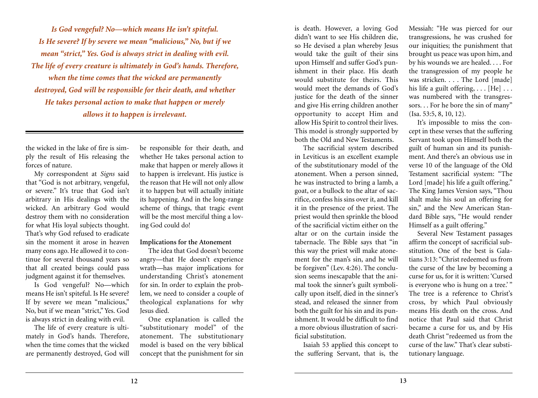*Is God vengeful? No—which means He isn't spiteful. Is He severe? If by severe we mean "malicious," No, but if we mean "strict," Yes. God is always strict in dealing with evil. The life of every creature is ultimately in God's hands. Therefore, when the time comes that the wicked are permanently destroyed, God will be responsible for their death, and whether He takes personal action to make that happen or merely allows it to happen is irrelevant.*

the wicked in the lake of fire is simply the result of His releasing the forces of nature.

My correspondent at *Signs* said that "God is not arbitrary, vengeful, or severe." It's true that God isn't arbitrary in His dealings with the wicked. An arbitrary God would destroy them with no consideration for what His loyal subjects thought. That's why God refused to eradicate sin the moment it arose in heaven many eons ago. He allowed it to continue for several thousand years so that all created beings could pass judgment against it for themselves.

Is God vengeful? No—which means He isn't spiteful. Is He severe? If by severe we mean "malicious," No, but if we mean "strict," Yes. God is always strict in dealing with evil.

The life of every creature is ultimately in God's hands. Therefore, when the time comes that the wicked are permanently destroyed, God will

be responsible for their death, and whether He takes personal action to make that happen or merely allows it to happen is irrelevant. His justice is the reason that He will not only allow it to happen but will actually initiate its happening. And in the long-range scheme of things, that tragic event will be the most merciful thing a loving God could do!

### **Implications for the Atonement**

The idea that God doesn't become angry—that He doesn't experience wrath—has major implications for understanding Christ's atonement for sin. In order to explain the problem, we need to consider a couple of theological explanations for why Jesus died.

One explanation is called the "substitutionary model" of the atonement. The substitutionary model is based on the very biblical concept that the punishment for sin

is death. However, a loving God didn't want to see His children die, so He devised a plan whereby Jesus would take the guilt of their sins upon Himself and suffer God's punishment in their place. His death would substitute for theirs. This would meet the demands of God's justice for the death of the sinner and give His erring children another opportunity to accept Him and allow His Spirit to control their lives. This model is strongly supported by both the Old and New Testaments.

The sacrificial system described in Leviticus is an excellent example of the substitutionary model of the atonement. When a person sinned, he was instructed to bring a lamb, a goat, or a bullock to the altar of sacrifice, confess his sins over it, and kill it in the presence of the priest. The priest would then sprinkle the blood of the sacrificial victim either on the altar or on the curtain inside the tabernacle. The Bible says that "in this way the priest will make atonement for the man's sin, and he will be forgiven" (Lev. 4:26). The conclusion seems inescapable that the animal took the sinner's guilt symbolically upon itself, died in the sinner's stead, and released the sinner from both the guilt for his sin and its punishment. It would be difficult to find a more obvious illustration of sacrificial substitution.

Isaiah 53 applied this concept to the suffering Servant, that is, the Messiah: "He was pierced for our transgressions, he was crushed for our iniquities; the punishment that brought us peace was upon him, and by his wounds we are healed. . . . For the transgression of my people he was stricken. . . . The Lord [made] his life a guilt offering,  $\ldots$  [He]  $\ldots$ was numbered with the transgressors. . . For he bore the sin of many" (Isa. 53:5, 8, 10, 12).

It's impossible to miss the concept in these verses that the suffering Servant took upon Himself both the guilt of human sin and its punishment. And there's an obvious use in verse 10 of the language of the Old Testament sacrificial system: "The Lord [made] his life a guilt offering." The King James Version says, "Thou shalt make his soul an offering for sin," and the New American Standard Bible says, "He would render Himself as a guilt offering."

Several New Testament passages affirm the concept of sacrificial substitution. One of the best is Galatians 3:13: "Christ redeemed us from the curse of the law by becoming a curse for us, for it is written: 'Cursed is everyone who is hung on a tree.'" The tree is a reference to Christ's cross, by which Paul obviously means His death on the cross. And notice that Paul said that Christ became a curse for us, and by His death Christ "redeemed us from the curse of the law." That's clear substitutionary language.